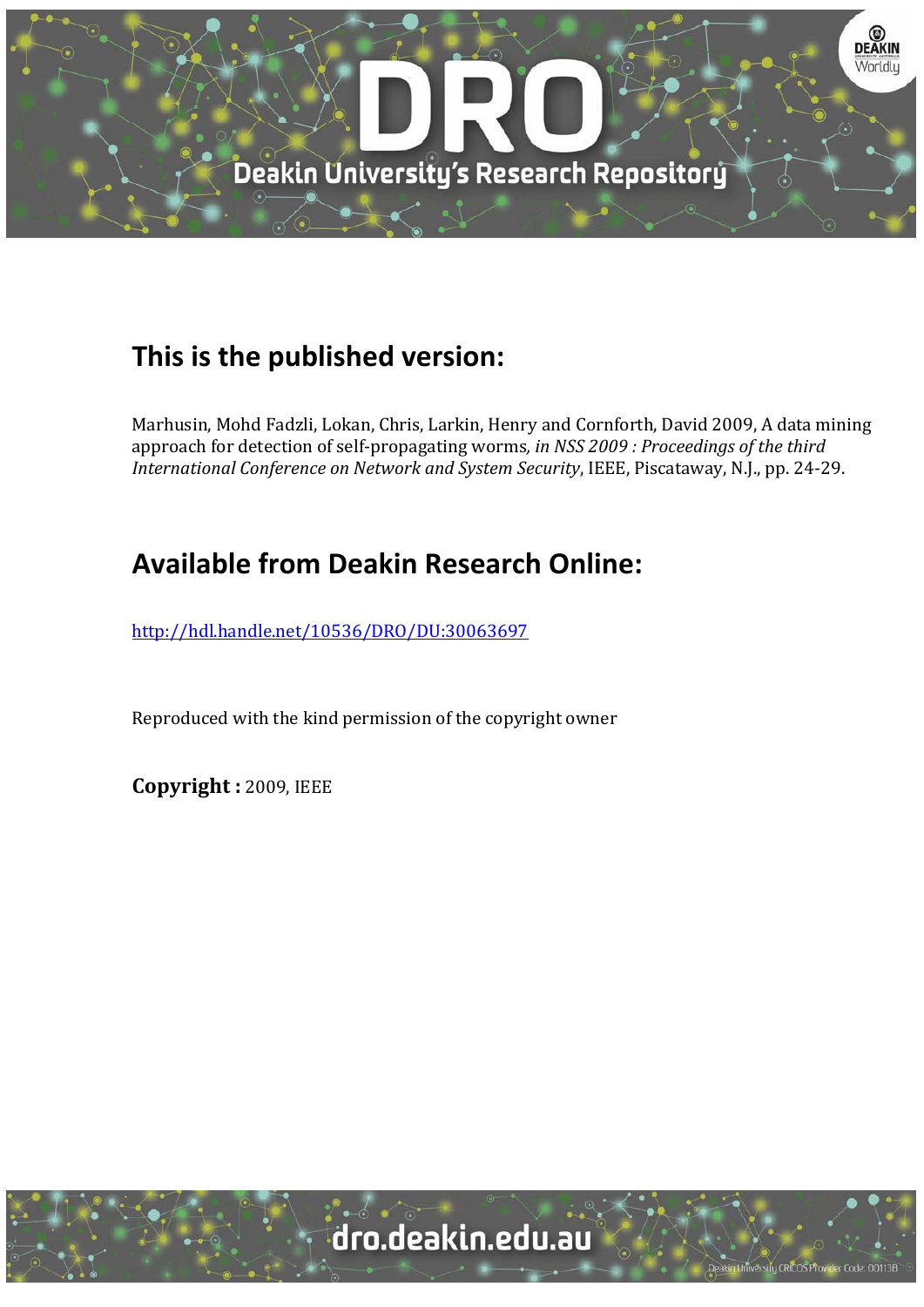

## **This is the published version:**

Marhusin, Mohd Fadzli, Lokan, Chris, Larkin, Henry and Cornforth, David 2009, A data mining approach for detection of self‐propagating worms*, in NSS 2009 : Proceedings of the third International Conference on Network and System Security*, IEEE, Piscataway, N.J., pp. 24‐29. 

# **Available from Deakin Research Online:**

http://hdl.handle.net/10536/DRO/DU:30063697

Reproduced with the kind permission of the copyright owner

**Copyright :** 2009, IEEE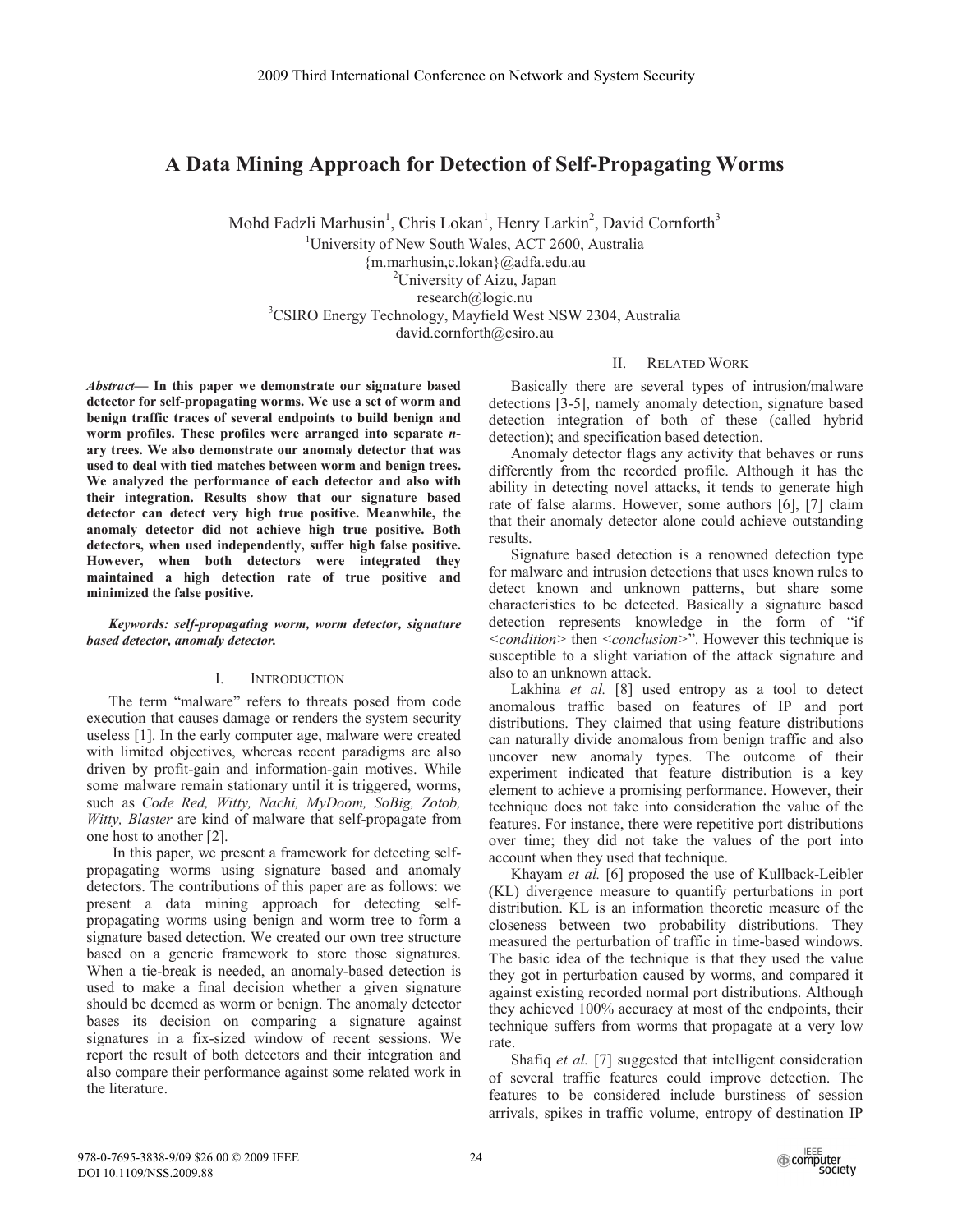## **A Data Mining Approach for Detection of Self-Propagating Worms**

Mohd Fadzli Marhusin<sup>1</sup>, Chris Lokan<sup>1</sup>, Henry Larkin<sup>2</sup>, David Cornforth<sup>3</sup> <sup>1</sup>University of New South Wales, ACT 2600, Australia {m.marhusin,c.lokan}@adfa.edu.au 2 <sup>2</sup>University of Aizu, Japan research@logic.nu 3 CSIRO Energy Technology, Mayfield West NSW 2304, Australia david.cornforth@csiro.au

*Abstract***— In this paper we demonstrate our signature based detector for self-propagating worms. We use a set of worm and benign traffic traces of several endpoints to build benign and worm profiles. These profiles were arranged into separate** *n***ary trees. We also demonstrate our anomaly detector that was used to deal with tied matches between worm and benign trees. We analyzed the performance of each detector and also with their integration. Results show that our signature based detector can detect very high true positive. Meanwhile, the anomaly detector did not achieve high true positive. Both detectors, when used independently, suffer high false positive. However, when both detectors were integrated they maintained a high detection rate of true positive and minimized the false positive.** 

*Keywords: self-propagating worm, worm detector, signature based detector, anomaly detector.* 

## I. INTRODUCTION

The term "malware" refers to threats posed from code execution that causes damage or renders the system security useless [1]. In the early computer age, malware were created with limited objectives, whereas recent paradigms are also driven by profit-gain and information-gain motives. While some malware remain stationary until it is triggered, worms, such as *Code Red, Witty, Nachi, MyDoom, SoBig, Zotob, Witty, Blaster* are kind of malware that self-propagate from one host to another [2].

 In this paper, we present a framework for detecting selfpropagating worms using signature based and anomaly detectors. The contributions of this paper are as follows: we present a data mining approach for detecting selfpropagating worms using benign and worm tree to form a signature based detection. We created our own tree structure based on a generic framework to store those signatures. When a tie-break is needed, an anomaly-based detection is used to make a final decision whether a given signature should be deemed as worm or benign. The anomaly detector bases its decision on comparing a signature against signatures in a fix-sized window of recent sessions. We report the result of both detectors and their integration and also compare their performance against some related work in the literature.

## II. RELATED WORK

Basically there are several types of intrusion/malware detections [3-5], namely anomaly detection, signature based detection integration of both of these (called hybrid detection); and specification based detection.

Anomaly detector flags any activity that behaves or runs differently from the recorded profile. Although it has the ability in detecting novel attacks, it tends to generate high rate of false alarms. However, some authors [6], [7] claim that their anomaly detector alone could achieve outstanding results.

Signature based detection is a renowned detection type for malware and intrusion detections that uses known rules to detect known and unknown patterns, but share some characteristics to be detected. Basically a signature based detection represents knowledge in the form of "if *<condition>* then *<conclusion>*". However this technique is susceptible to a slight variation of the attack signature and also to an unknown attack.

Lakhina *et al.* [8] used entropy as a tool to detect anomalous traffic based on features of IP and port distributions. They claimed that using feature distributions can naturally divide anomalous from benign traffic and also uncover new anomaly types. The outcome of their experiment indicated that feature distribution is a key element to achieve a promising performance. However, their technique does not take into consideration the value of the features. For instance, there were repetitive port distributions over time; they did not take the values of the port into account when they used that technique.

Khayam *et al.* [6] proposed the use of Kullback-Leibler (KL) divergence measure to quantify perturbations in port distribution. KL is an information theoretic measure of the closeness between two probability distributions. They measured the perturbation of traffic in time-based windows. The basic idea of the technique is that they used the value they got in perturbation caused by worms, and compared it against existing recorded normal port distributions. Although they achieved 100% accuracy at most of the endpoints, their technique suffers from worms that propagate at a very low rate.

Shafiq *et al.* [7] suggested that intelligent consideration of several traffic features could improve detection. The features to be considered include burstiness of session arrivals, spikes in traffic volume, entropy of destination IP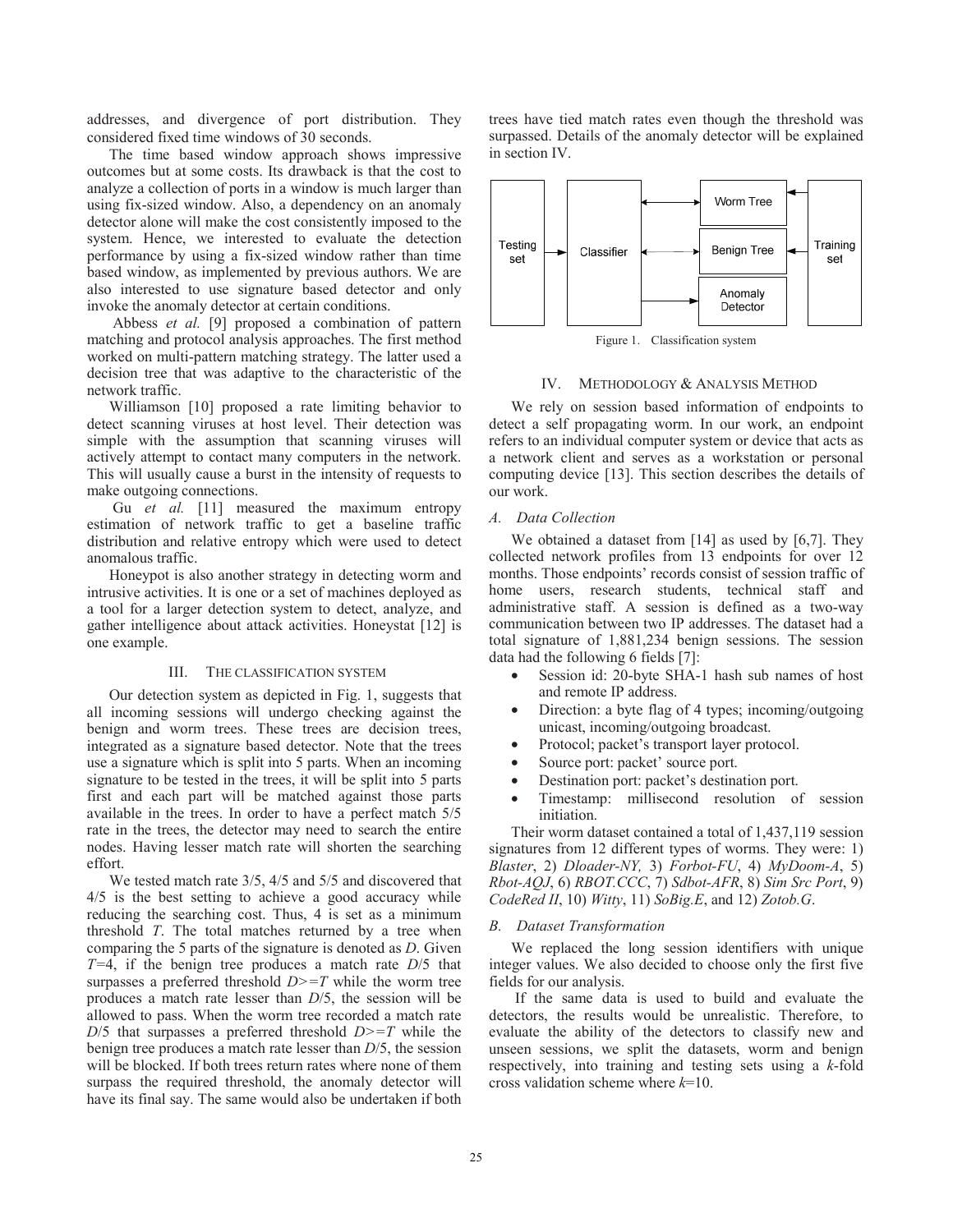addresses, and divergence of port distribution. They considered fixed time windows of 30 seconds.

The time based window approach shows impressive outcomes but at some costs. Its drawback is that the cost to analyze a collection of ports in a window is much larger than using fix-sized window. Also, a dependency on an anomaly detector alone will make the cost consistently imposed to the system. Hence, we interested to evaluate the detection performance by using a fix-sized window rather than time based window, as implemented by previous authors. We are also interested to use signature based detector and only invoke the anomaly detector at certain conditions.

 Abbess *et al.* [9] proposed a combination of pattern matching and protocol analysis approaches. The first method worked on multi-pattern matching strategy. The latter used a decision tree that was adaptive to the characteristic of the network traffic.

Williamson [10] proposed a rate limiting behavior to detect scanning viruses at host level. Their detection was simple with the assumption that scanning viruses will actively attempt to contact many computers in the network. This will usually cause a burst in the intensity of requests to make outgoing connections.

 Gu *et al.* [11] measured the maximum entropy estimation of network traffic to get a baseline traffic distribution and relative entropy which were used to detect anomalous traffic.

Honeypot is also another strategy in detecting worm and intrusive activities. It is one or a set of machines deployed as a tool for a larger detection system to detect, analyze, and gather intelligence about attack activities. Honeystat [12] is one example.

#### III. THE CLASSIFICATION SYSTEM

Our detection system as depicted in Fig. 1, suggests that all incoming sessions will undergo checking against the benign and worm trees. These trees are decision trees, integrated as a signature based detector. Note that the trees use a signature which is split into 5 parts. When an incoming signature to be tested in the trees, it will be split into 5 parts first and each part will be matched against those parts available in the trees. In order to have a perfect match 5/5 rate in the trees, the detector may need to search the entire nodes. Having lesser match rate will shorten the searching effort.

We tested match rate 3/5, 4/5 and 5/5 and discovered that 4/5 is the best setting to achieve a good accuracy while reducing the searching cost. Thus, 4 is set as a minimum threshold *T*. The total matches returned by a tree when comparing the 5 parts of the signature is denoted as *D*. Given *T=*4, if the benign tree produces a match rate *D*/5 that surpasses a preferred threshold *D>=T* while the worm tree produces a match rate lesser than *D*/5, the session will be allowed to pass. When the worm tree recorded a match rate *D*/5 that surpasses a preferred threshold *D>=T* while the benign tree produces a match rate lesser than *D*/5, the session will be blocked. If both trees return rates where none of them surpass the required threshold, the anomaly detector will have its final say. The same would also be undertaken if both trees have tied match rates even though the threshold was surpassed. Details of the anomaly detector will be explained in section IV.



Figure 1. Classification system

## IV. METHODOLOGY & ANALYSIS METHOD

We rely on session based information of endpoints to detect a self propagating worm. In our work, an endpoint refers to an individual computer system or device that acts as a network client and serves as a workstation or personal computing device [13]. This section describes the details of our work.

### *A. Data Collection*

We obtained a dataset from [14] as used by [6,7]. They collected network profiles from 13 endpoints for over 12 months. Those endpoints' records consist of session traffic of home users, research students, technical staff and administrative staff. A session is defined as a two-way communication between two IP addresses. The dataset had a total signature of 1,881,234 benign sessions. The session data had the following 6 fields [7]:

- Session id: 20-byte SHA-1 hash sub names of host and remote IP address.
- Direction: a byte flag of 4 types; incoming/outgoing unicast, incoming/outgoing broadcast.
- Protocol; packet's transport layer protocol.
- Source port: packet' source port.
- Destination port: packet's destination port.
- Timestamp: millisecond resolution of session initiation.

Their worm dataset contained a total of 1,437,119 session signatures from 12 different types of worms. They were: 1) *Blaster*, 2) *Dloader-NY,* 3) *Forbot-FU*, 4) *MyDoom-A*, 5) *Rbot-AQJ*, 6) *RBOT.CCC*, 7) *Sdbot-AFR*, 8) *Sim Src Port*, 9) *CodeRed II*, 10) *Witty*, 11) *SoBig.E*, and 12) *Zotob.G*.

#### *B. Dataset Transformation*

We replaced the long session identifiers with unique integer values. We also decided to choose only the first five fields for our analysis.

 If the same data is used to build and evaluate the detectors, the results would be unrealistic. Therefore, to evaluate the ability of the detectors to classify new and unseen sessions, we split the datasets, worm and benign respectively, into training and testing sets using a *k*-fold cross validation scheme where *k*=10.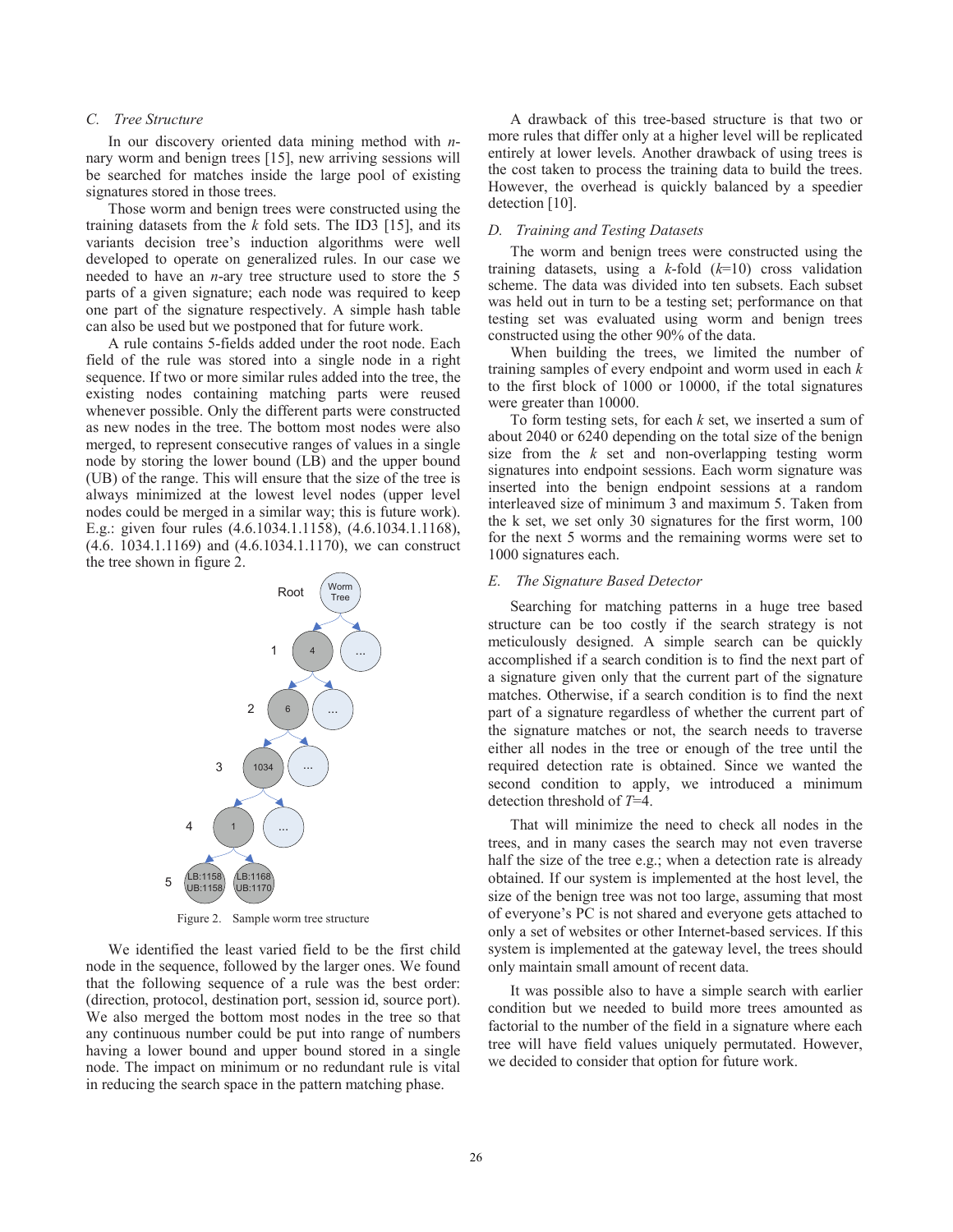## *C. Tree Structure*

In our discovery oriented data mining method with *n*nary worm and benign trees [15], new arriving sessions will be searched for matches inside the large pool of existing signatures stored in those trees.

Those worm and benign trees were constructed using the training datasets from the *k* fold sets. The ID3 [15], and its variants decision tree's induction algorithms were well developed to operate on generalized rules. In our case we needed to have an *n*-ary tree structure used to store the 5 parts of a given signature; each node was required to keep one part of the signature respectively. A simple hash table can also be used but we postponed that for future work.

A rule contains 5-fields added under the root node. Each field of the rule was stored into a single node in a right sequence. If two or more similar rules added into the tree, the existing nodes containing matching parts were reused whenever possible. Only the different parts were constructed as new nodes in the tree. The bottom most nodes were also merged, to represent consecutive ranges of values in a single node by storing the lower bound (LB) and the upper bound (UB) of the range. This will ensure that the size of the tree is always minimized at the lowest level nodes (upper level nodes could be merged in a similar way; this is future work). E.g.: given four rules (4.6.1034.1.1158), (4.6.1034.1.1168), (4.6. 1034.1.1169) and (4.6.1034.1.1170), we can construct the tree shown in figure 2.



Figure 2. Sample worm tree structure

We identified the least varied field to be the first child node in the sequence, followed by the larger ones. We found that the following sequence of a rule was the best order: (direction, protocol, destination port, session id, source port). We also merged the bottom most nodes in the tree so that any continuous number could be put into range of numbers having a lower bound and upper bound stored in a single node. The impact on minimum or no redundant rule is vital in reducing the search space in the pattern matching phase.

A drawback of this tree-based structure is that two or more rules that differ only at a higher level will be replicated entirely at lower levels. Another drawback of using trees is the cost taken to process the training data to build the trees. However, the overhead is quickly balanced by a speedier detection [10].

## *D. Training and Testing Datasets*

The worm and benign trees were constructed using the training datasets, using a *k*-fold (*k*=10) cross validation scheme. The data was divided into ten subsets. Each subset was held out in turn to be a testing set; performance on that testing set was evaluated using worm and benign trees constructed using the other 90% of the data.

When building the trees, we limited the number of training samples of every endpoint and worm used in each *k* to the first block of 1000 or 10000, if the total signatures were greater than 10000.

To form testing sets, for each *k* set, we inserted a sum of about 2040 or 6240 depending on the total size of the benign size from the *k* set and non-overlapping testing worm signatures into endpoint sessions. Each worm signature was inserted into the benign endpoint sessions at a random interleaved size of minimum 3 and maximum 5. Taken from the k set, we set only 30 signatures for the first worm, 100 for the next 5 worms and the remaining worms were set to 1000 signatures each.

### *E. The Signature Based Detector*

Searching for matching patterns in a huge tree based structure can be too costly if the search strategy is not meticulously designed. A simple search can be quickly accomplished if a search condition is to find the next part of a signature given only that the current part of the signature matches. Otherwise, if a search condition is to find the next part of a signature regardless of whether the current part of the signature matches or not, the search needs to traverse either all nodes in the tree or enough of the tree until the required detection rate is obtained. Since we wanted the second condition to apply, we introduced a minimum detection threshold of *T*=4.

That will minimize the need to check all nodes in the trees, and in many cases the search may not even traverse half the size of the tree e.g.; when a detection rate is already obtained. If our system is implemented at the host level, the size of the benign tree was not too large, assuming that most of everyone's PC is not shared and everyone gets attached to only a set of websites or other Internet-based services. If this system is implemented at the gateway level, the trees should only maintain small amount of recent data.

It was possible also to have a simple search with earlier condition but we needed to build more trees amounted as factorial to the number of the field in a signature where each tree will have field values uniquely permutated. However, we decided to consider that option for future work.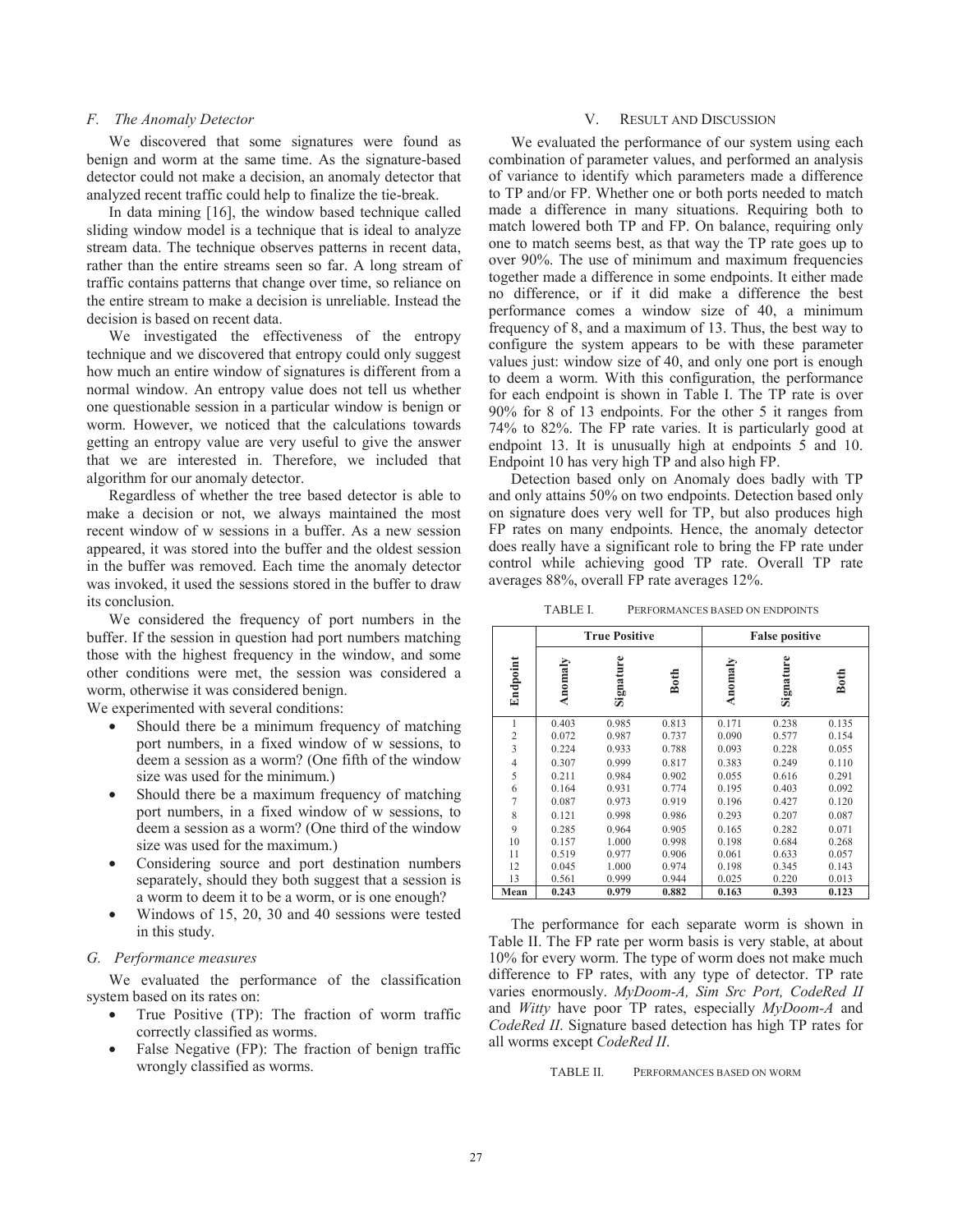## *F. The Anomaly Detector*

We discovered that some signatures were found as benign and worm at the same time. As the signature-based detector could not make a decision, an anomaly detector that analyzed recent traffic could help to finalize the tie-break.

In data mining [16], the window based technique called sliding window model is a technique that is ideal to analyze stream data. The technique observes patterns in recent data, rather than the entire streams seen so far. A long stream of traffic contains patterns that change over time, so reliance on the entire stream to make a decision is unreliable. Instead the decision is based on recent data.

We investigated the effectiveness of the entropy technique and we discovered that entropy could only suggest how much an entire window of signatures is different from a normal window. An entropy value does not tell us whether one questionable session in a particular window is benign or worm. However, we noticed that the calculations towards getting an entropy value are very useful to give the answer that we are interested in. Therefore, we included that algorithm for our anomaly detector.

Regardless of whether the tree based detector is able to make a decision or not, we always maintained the most recent window of w sessions in a buffer. As a new session appeared, it was stored into the buffer and the oldest session in the buffer was removed. Each time the anomaly detector was invoked, it used the sessions stored in the buffer to draw its conclusion.

We considered the frequency of port numbers in the buffer. If the session in question had port numbers matching those with the highest frequency in the window, and some other conditions were met, the session was considered a worm, otherwise it was considered benign.

We experimented with several conditions:

- Should there be a minimum frequency of matching port numbers, in a fixed window of w sessions, to deem a session as a worm? (One fifth of the window size was used for the minimum.)
- Should there be a maximum frequency of matching port numbers, in a fixed window of w sessions, to deem a session as a worm? (One third of the window size was used for the maximum.)
- Considering source and port destination numbers separately, should they both suggest that a session is a worm to deem it to be a worm, or is one enough?
- Windows of 15, 20, 30 and 40 sessions were tested in this study.

### *G. Performance measures*

We evaluated the performance of the classification system based on its rates on:

- True Positive (TP): The fraction of worm traffic correctly classified as worms.
- False Negative (FP): The fraction of benign traffic wrongly classified as worms.

## V. RESULT AND DISCUSSION

We evaluated the performance of our system using each combination of parameter values, and performed an analysis of variance to identify which parameters made a difference to TP and/or FP. Whether one or both ports needed to match made a difference in many situations. Requiring both to match lowered both TP and FP. On balance, requiring only one to match seems best, as that way the TP rate goes up to over 90%. The use of minimum and maximum frequencies together made a difference in some endpoints. It either made no difference, or if it did make a difference the best performance comes a window size of 40, a minimum frequency of 8, and a maximum of 13. Thus, the best way to configure the system appears to be with these parameter values just: window size of 40, and only one port is enough to deem a worm. With this configuration, the performance for each endpoint is shown in Table I. The TP rate is over 90% for 8 of 13 endpoints. For the other 5 it ranges from 74% to 82%. The FP rate varies. It is particularly good at endpoint 13. It is unusually high at endpoints 5 and 10. Endpoint 10 has very high TP and also high FP.

Detection based only on Anomaly does badly with TP and only attains 50% on two endpoints. Detection based only on signature does very well for TP, but also produces high FP rates on many endpoints. Hence, the anomaly detector does really have a significant role to bring the FP rate under control while achieving good TP rate. Overall TP rate averages 88%, overall FP rate averages 12%.

TABLE I. PERFORMANCES BASED ON ENDPOINTS

|                | <b>True Positive</b> |           |       | <b>False positive</b> |           |             |
|----------------|----------------------|-----------|-------|-----------------------|-----------|-------------|
| Endpoint       | Anomaly              | Signature | Both  | Anomaly               | Signature | <b>Both</b> |
| 1              | 0.403                | 0.985     | 0.813 | 0.171                 | 0.238     | 0.135       |
| $\frac{2}{3}$  | 0.072                | 0.987     | 0.737 | 0.090                 | 0.577     | 0.154       |
|                | 0.224                | 0.933     | 0.788 | 0.093                 | 0.228     | 0.055       |
| $\overline{4}$ | 0.307                | 0.999     | 0.817 | 0.383                 | 0.249     | 0.110       |
| 5              | 0.211                | 0.984     | 0.902 | 0.055                 | 0.616     | 0.291       |
| 6              | 0.164                | 0.931     | 0.774 | 0.195                 | 0.403     | 0.092       |
| $\overline{7}$ | 0.087                | 0.973     | 0.919 | 0.196                 | 0.427     | 0.120       |
| 8              | 0.121                | 0.998     | 0.986 | 0.293                 | 0.207     | 0.087       |
| $\overline{9}$ | 0.285                | 0.964     | 0.905 | 0.165                 | 0.282     | 0.071       |
| 10             | 0.157                | 1.000     | 0.998 | 0.198                 | 0.684     | 0.268       |
| 11             | 0.519                | 0.977     | 0.906 | 0.061                 | 0.633     | 0.057       |
| 12             | 0.045                | 1.000     | 0.974 | 0.198                 | 0.345     | 0.143       |
| 13             | 0.561                | 0.999     | 0.944 | 0.025                 | 0.220     | 0.013       |
| Mean           | 0.243                | 0.979     | 0.882 | 0.163                 | 0.393     | 0.123       |

The performance for each separate worm is shown in Table II. The FP rate per worm basis is very stable, at about 10% for every worm. The type of worm does not make much difference to FP rates, with any type of detector. TP rate varies enormously. *MyDoom-A, Sim Src Port, CodeRed II* and *Witty* have poor TP rates, especially *MyDoom-A* and *CodeRed II*. Signature based detection has high TP rates for all worms except *CodeRed II*.

TABLE II. PERFORMANCES BASED ON WORM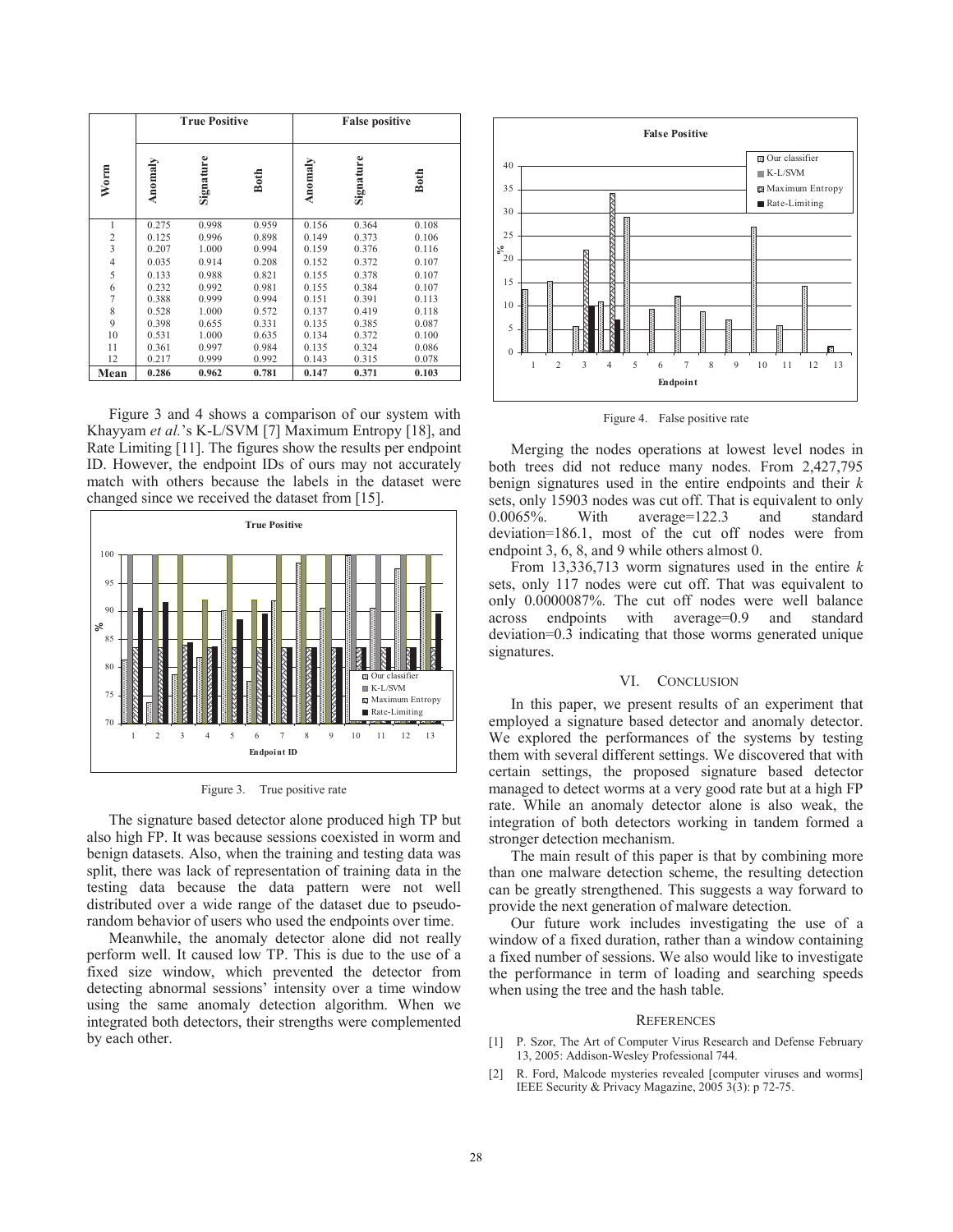|                | <b>True Positive</b> |           |             | <b>False positive</b> |           |             |
|----------------|----------------------|-----------|-------------|-----------------------|-----------|-------------|
| Worm           | Anomaly              | Signature | <b>Both</b> | Anomaly               | Signature | <b>Both</b> |
| 1              | 0.275                | 0.998     | 0.959       | 0.156                 | 0.364     | 0.108       |
| $\overline{c}$ | 0.125                | 0.996     | 0.898       | 0.149                 | 0.373     | 0.106       |
| $\overline{3}$ | 0.207                | 1.000     | 0.994       | 0.159                 | 0.376     | 0.116       |
| $\overline{4}$ | 0.035                | 0.914     | 0.208       | 0.152                 | 0.372     | 0.107       |
| 5              | 0.133                | 0.988     | 0.821       | 0.155                 | 0.378     | 0.107       |
| 6              | 0.232                | 0.992     | 0.981       | 0.155                 | 0.384     | 0.107       |
| $\overline{7}$ | 0.388                | 0.999     | 0.994       | 0.151                 | 0.391     | 0.113       |
| 8              | 0.528                | 1.000     | 0.572       | 0.137                 | 0.419     | 0.118       |
| 9              | 0.398                | 0.655     | 0.331       | 0.135                 | 0.385     | 0.087       |
| 10             | 0.531                | 1.000     | 0.635       | 0.134                 | 0.372     | 0.100       |
| 11             | 0.361                | 0.997     | 0.984       | 0.135                 | 0.324     | 0.086       |
| 12             | 0.217                | 0.999     | 0.992       | 0.143                 | 0.315     | 0.078       |
| Mean           | 0.286                | 0.962     | 0.781       | 0.147                 | 0.371     | 0.103       |

Figure 3 and 4 shows a comparison of our system with Khayyam *et al.*'s K-L/SVM [7] Maximum Entropy [18], and Rate Limiting [11]. The figures show the results per endpoint ID. However, the endpoint IDs of ours may not accurately match with others because the labels in the dataset were changed since we received the dataset from [15].



Figure 3. True positive rate

The signature based detector alone produced high TP but also high FP. It was because sessions coexisted in worm and benign datasets. Also, when the training and testing data was split, there was lack of representation of training data in the testing data because the data pattern were not well distributed over a wide range of the dataset due to pseudorandom behavior of users who used the endpoints over time.

Meanwhile, the anomaly detector alone did not really perform well. It caused low TP. This is due to the use of a fixed size window, which prevented the detector from detecting abnormal sessions' intensity over a time window using the same anomaly detection algorithm. When we integrated both detectors, their strengths were complemented by each other.



Figure 4. False positive rate

Merging the nodes operations at lowest level nodes in both trees did not reduce many nodes. From 2,427,795 benign signatures used in the entire endpoints and their *k* sets, only 15903 nodes was cut off. That is equivalent to only 0.0065%. With average=122.3 and standard deviation=186.1, most of the cut off nodes were from endpoint 3, 6, 8, and 9 while others almost 0.

From 13,336,713 worm signatures used in the entire *k* sets, only 117 nodes were cut off. That was equivalent to only 0.0000087%. The cut off nodes were well balance across endpoints with average=0.9 and standard deviation=0.3 indicating that those worms generated unique signatures.

## VI. CONCLUSION

In this paper, we present results of an experiment that employed a signature based detector and anomaly detector. We explored the performances of the systems by testing them with several different settings. We discovered that with certain settings, the proposed signature based detector managed to detect worms at a very good rate but at a high FP rate. While an anomaly detector alone is also weak, the integration of both detectors working in tandem formed a stronger detection mechanism.

The main result of this paper is that by combining more than one malware detection scheme, the resulting detection can be greatly strengthened. This suggests a way forward to provide the next generation of malware detection.

Our future work includes investigating the use of a window of a fixed duration, rather than a window containing a fixed number of sessions. We also would like to investigate the performance in term of loading and searching speeds when using the tree and the hash table.

#### **REFERENCES**

- [1] P. Szor, The Art of Computer Virus Research and Defense February 13, 2005: Addison-Wesley Professional 744.
- [2] R. Ford, Malcode mysteries revealed [computer viruses and worms] IEEE Security & Privacy Magazine, 2005 3(3): p 72-75.